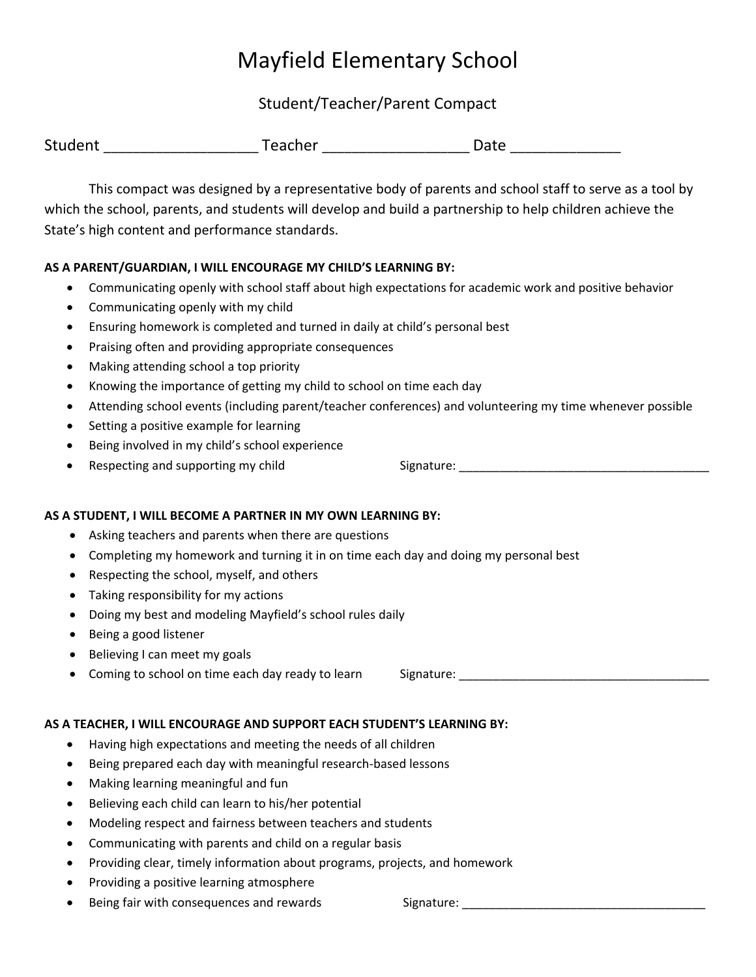## Mayfield Elementary School

Student/Teacher/Parent Compact

| Student | Teacher | Date |
|---------|---------|------|
|         |         |      |

This compact was designed by a representative body of parents and school staff to serve as a tool by which the school, parents, and students will develop and build a partnership to help children achieve the State's high content and performance standards.

## **AS A PARENT/GUARDIAN, I WILL ENCOURAGE MY CHILD'S LEARNING BY:**

- Communicating openly with school staff about high expectations for academic work and positive behavior
- Communicating openly with my child
- Ensuring homework is completed and turned in daily at child's personal best
- Praising often and providing appropriate consequences
- Making attending school a top priority
- Knowing the importance of getting my child to school on time each day
- Attending school events (including parent/teacher conferences) and volunteering my time whenever possible
- Setting a positive example for learning
- Being involved in my child's school experience
- 

**AS A STUDENT, I WILL BECOME A PARTNER IN MY OWN LEARNING BY:**

- Asking teachers and parents when there are questions
- Completing my homework and turning it in on time each day and doing my personal best
- Respecting the school, myself, and others
- Taking responsibility for my actions
- Doing my best and modeling Mayfield's school rules daily
- Being a good listener
- Believing I can meet my goals
- Coming to school on time each day ready to learn Signature:

## **AS A TEACHER, I WILL ENCOURAGE AND SUPPORT EACH STUDENT'S LEARNING BY:**

- Having high expectations and meeting the needs of all children
- Being prepared each day with meaningful research‐based lessons
- Making learning meaningful and fun
- Believing each child can learn to his/her potential
- Modeling respect and fairness between teachers and students
- Communicating with parents and child on a regular basis
- Providing clear, timely information about programs, projects, and homework
- Providing a positive learning atmosphere
- Being fair with consequences and rewards **Signature: Signature: Signature: Signature: Signature: Signature: Signature: Signature: Signature: Signature: Signature: Signature: Signature: Signature:**

• Respecting and supporting my child Signature: \_\_\_\_\_\_\_\_\_\_\_\_\_\_\_\_\_\_\_\_\_\_\_\_\_\_\_\_\_\_\_\_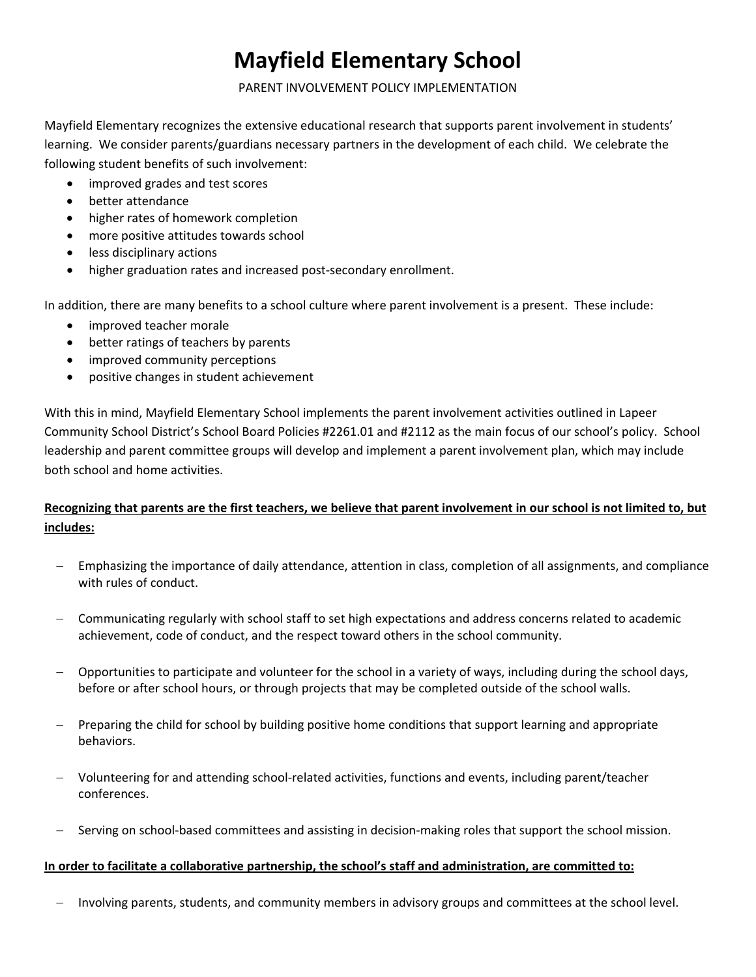# **Mayfield Elementary School**

#### PARENT INVOLVEMENT POLICY IMPLEMENTATION

Mayfield Elementary recognizes the extensive educational research that supports parent involvement in students' learning. We consider parents/guardians necessary partners in the development of each child. We celebrate the following student benefits of such involvement:

- improved grades and test scores
- better attendance
- higher rates of homework completion
- more positive attitudes towards school
- less disciplinary actions
- higher graduation rates and increased post‐secondary enrollment.

In addition, there are many benefits to a school culture where parent involvement is a present. These include:

- improved teacher morale
- better ratings of teachers by parents
- improved community perceptions
- positive changes in student achievement

With this in mind, Mayfield Elementary School implements the parent involvement activities outlined in Lapeer Community School District's School Board Policies #2261.01 and #2112 as the main focus of our school's policy. School leadership and parent committee groups will develop and implement a parent involvement plan, which may include both school and home activities.

## Recognizing that parents are the first teachers, we believe that parent involvement in our school is not limited to, but **includes:**

- − Emphasizing the importance of daily attendance, attention in class, completion of all assignments, and compliance with rules of conduct.
- − Communicating regularly with school staff to set high expectations and address concerns related to academic achievement, code of conduct, and the respect toward others in the school community.
- − Opportunities to participate and volunteer for the school in a variety of ways, including during the school days, before or after school hours, or through projects that may be completed outside of the school walls.
- − Preparing the child for school by building positive home conditions that support learning and appropriate behaviors.
- − Volunteering for and attending school‐related activities, functions and events, including parent/teacher conferences.
- − Serving on school‐based committees and assisting in decision‐making roles that support the school mission.

#### **In order to facilitate a collaborative partnership, the school's staff and administration, are committed to:**

− Involving parents, students, and community members in advisory groups and committees at the school level.